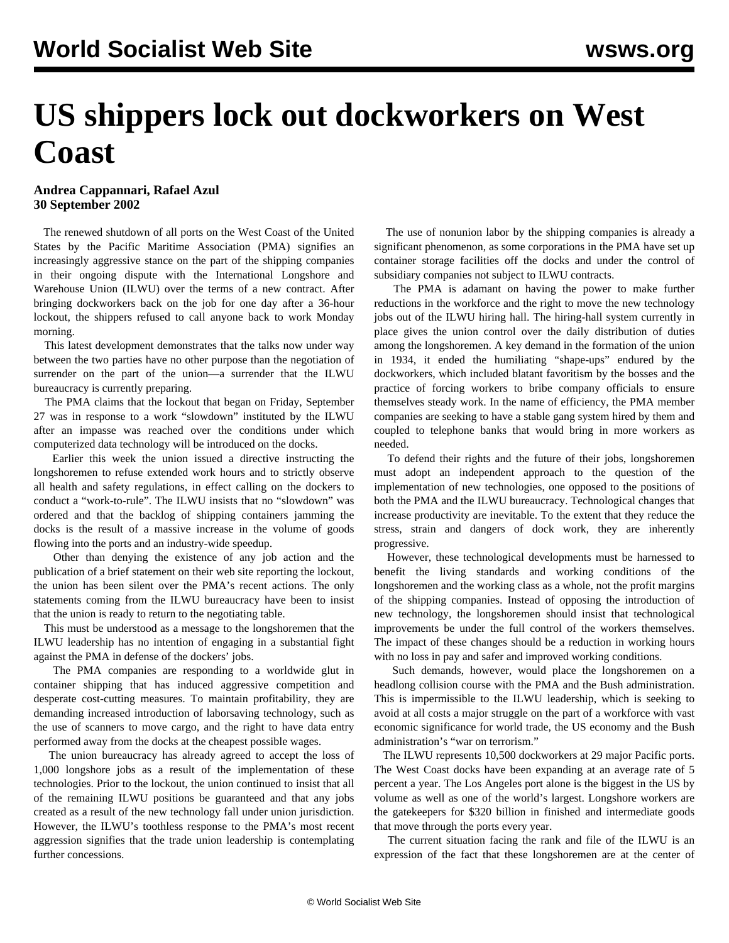## **US shippers lock out dockworkers on West Coast**

## **Andrea Cappannari, Rafael Azul 30 September 2002**

 The renewed shutdown of all ports on the West Coast of the United States by the Pacific Maritime Association (PMA) signifies an increasingly aggressive stance on the part of the shipping companies in their ongoing dispute with the International Longshore and Warehouse Union (ILWU) over the terms of a new contract. After bringing dockworkers back on the job for one day after a 36-hour lockout, the shippers refused to call anyone back to work Monday morning.

 This latest development demonstrates that the talks now under way between the two parties have no other purpose than the negotiation of surrender on the part of the union—a surrender that the ILWU bureaucracy is currently preparing.

 The PMA claims that the lockout that began on Friday, September 27 was in response to a work "slowdown" instituted by the ILWU after an impasse was reached over the conditions under which computerized data technology will be introduced on the docks.

 Earlier this week the union issued a directive instructing the longshoremen to refuse extended work hours and to strictly observe all health and safety regulations, in effect calling on the dockers to conduct a "work-to-rule". The ILWU insists that no "slowdown" was ordered and that the backlog of shipping containers jamming the docks is the result of a massive increase in the volume of goods flowing into the ports and an industry-wide speedup.

 Other than denying the existence of any job action and the publication of a brief statement on their web site reporting the lockout, the union has been silent over the PMA's recent actions. The only statements coming from the ILWU bureaucracy have been to insist that the union is ready to return to the negotiating table.

 This must be understood as a message to the longshoremen that the ILWU leadership has no intention of engaging in a substantial fight against the PMA in defense of the dockers' jobs.

 The PMA companies are responding to a worldwide glut in container shipping that has induced aggressive competition and desperate cost-cutting measures. To maintain profitability, they are demanding increased introduction of laborsaving technology, such as the use of scanners to move cargo, and the right to have data entry performed away from the docks at the cheapest possible wages.

 The union bureaucracy has already agreed to accept the loss of 1,000 longshore jobs as a result of the implementation of these technologies. Prior to the lockout, the union continued to insist that all of the remaining ILWU positions be guaranteed and that any jobs created as a result of the new technology fall under union jurisdiction. However, the ILWU's toothless response to the PMA's most recent aggression signifies that the trade union leadership is contemplating further concessions.

 The use of nonunion labor by the shipping companies is already a significant phenomenon, as some corporations in the PMA have set up container storage facilities off the docks and under the control of subsidiary companies not subject to ILWU contracts.

 The PMA is adamant on having the power to make further reductions in the workforce and the right to move the new technology jobs out of the ILWU hiring hall. The hiring-hall system currently in place gives the union control over the daily distribution of duties among the longshoremen. A key demand in the formation of the union in 1934, it ended the humiliating "shape-ups" endured by the dockworkers, which included blatant favoritism by the bosses and the practice of forcing workers to bribe company officials to ensure themselves steady work. In the name of efficiency, the PMA member companies are seeking to have a stable gang system hired by them and coupled to telephone banks that would bring in more workers as needed.

 To defend their rights and the future of their jobs, longshoremen must adopt an independent approach to the question of the implementation of new technologies, one opposed to the positions of both the PMA and the ILWU bureaucracy. Technological changes that increase productivity are inevitable. To the extent that they reduce the stress, strain and dangers of dock work, they are inherently progressive.

 However, these technological developments must be harnessed to benefit the living standards and working conditions of the longshoremen and the working class as a whole, not the profit margins of the shipping companies. Instead of opposing the introduction of new technology, the longshoremen should insist that technological improvements be under the full control of the workers themselves. The impact of these changes should be a reduction in working hours with no loss in pay and safer and improved working conditions.

 Such demands, however, would place the longshoremen on a headlong collision course with the PMA and the Bush administration. This is impermissible to the ILWU leadership, which is seeking to avoid at all costs a major struggle on the part of a workforce with vast economic significance for world trade, the US economy and the Bush administration's "war on terrorism."

 The ILWU represents 10,500 dockworkers at 29 major Pacific ports. The West Coast docks have been expanding at an average rate of 5 percent a year. The Los Angeles port alone is the biggest in the US by volume as well as one of the world's largest. Longshore workers are the gatekeepers for \$320 billion in finished and intermediate goods that move through the ports every year.

 The current situation facing the rank and file of the ILWU is an expression of the fact that these longshoremen are at the center of